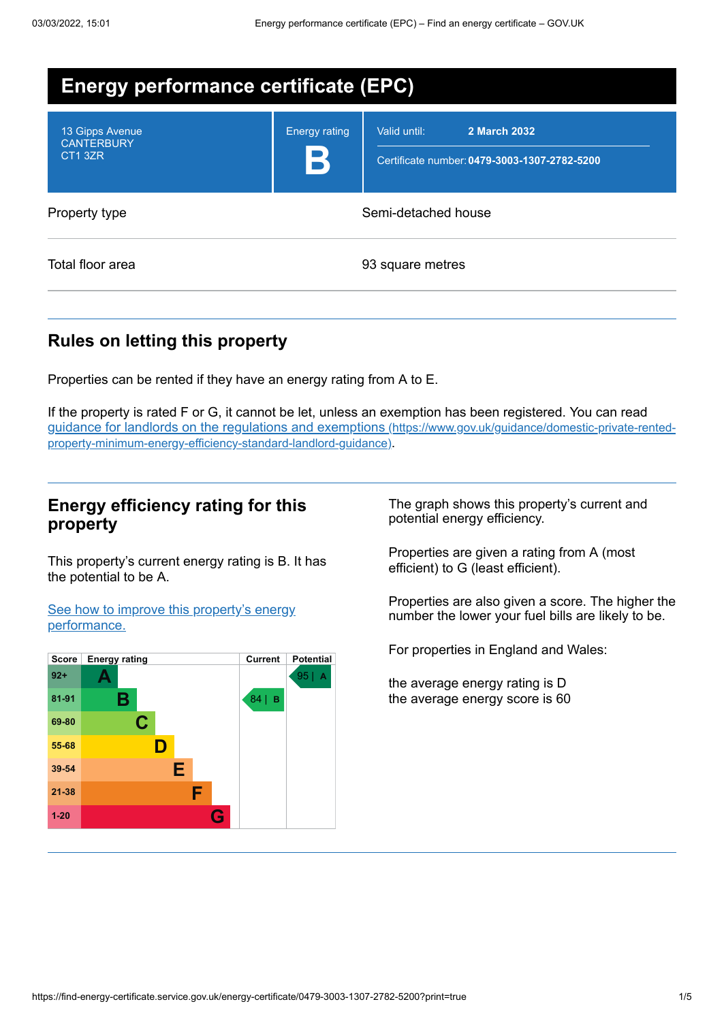| <b>Energy performance certificate (EPC)</b>     |                      |                                                                              |  |
|-------------------------------------------------|----------------------|------------------------------------------------------------------------------|--|
| 13 Gipps Avenue<br><b>CANTERBURY</b><br>CT1 3ZR | <b>Energy rating</b> | Valid until:<br>2 March 2032<br>Certificate number: 0479-3003-1307-2782-5200 |  |
| Property type                                   |                      | Semi-detached house                                                          |  |
| Total floor area                                |                      | 93 square metres                                                             |  |

# **Rules on letting this property**

Properties can be rented if they have an energy rating from A to E.

If the property is rated F or G, it cannot be let, unless an exemption has been registered. You can read guidance for landlords on the regulations and exemptions (https://www.gov.uk/guidance/domestic-private-rented[property-minimum-energy-efficiency-standard-landlord-guidance\)](https://www.gov.uk/guidance/domestic-private-rented-property-minimum-energy-efficiency-standard-landlord-guidance).

## **Energy efficiency rating for this property**

This property's current energy rating is B. It has the potential to be A.

See how to improve this property's energy [performance.](#page-2-0)



The graph shows this property's current and potential energy efficiency.

Properties are given a rating from A (most efficient) to G (least efficient).

Properties are also given a score. The higher the number the lower your fuel bills are likely to be.

For properties in England and Wales:

the average energy rating is D the average energy score is 60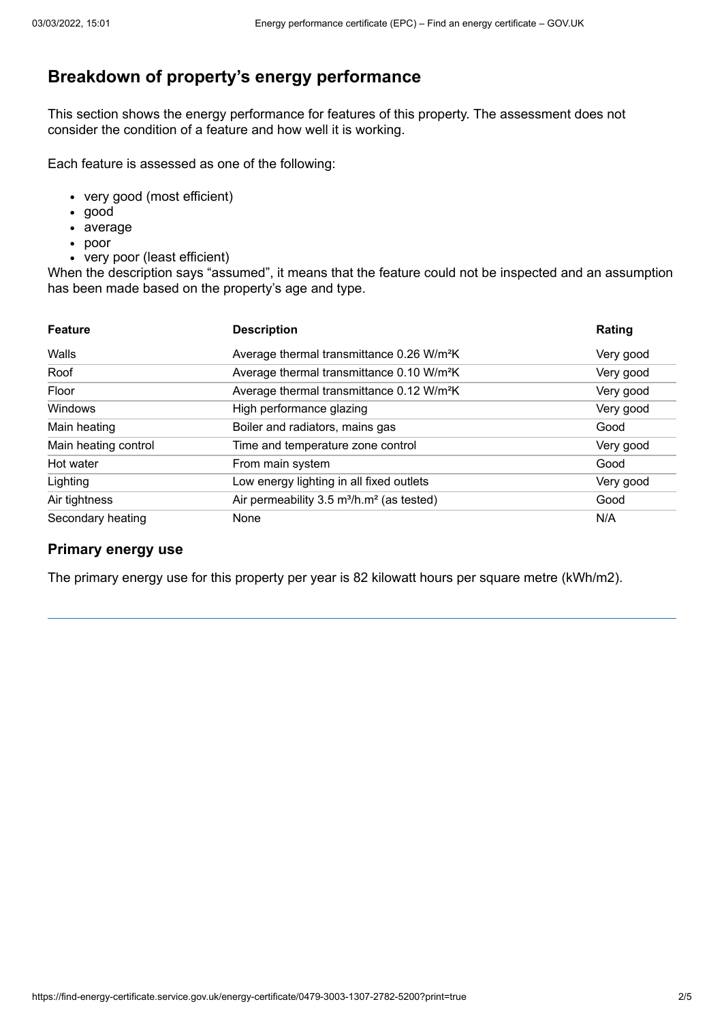# **Breakdown of property's energy performance**

This section shows the energy performance for features of this property. The assessment does not consider the condition of a feature and how well it is working.

Each feature is assessed as one of the following:

- very good (most efficient)
- good
- average
- poor
- very poor (least efficient)

When the description says "assumed", it means that the feature could not be inspected and an assumption has been made based on the property's age and type.

| <b>Feature</b>       | <b>Description</b>                                                | Rating    |
|----------------------|-------------------------------------------------------------------|-----------|
| Walls                | Average thermal transmittance 0.26 W/m <sup>2</sup> K             | Very good |
| Roof                 | Average thermal transmittance 0.10 W/m <sup>2</sup> K             | Very good |
| Floor                | Average thermal transmittance 0.12 W/m <sup>2</sup> K             | Very good |
| Windows              | High performance glazing                                          | Very good |
| Main heating         | Boiler and radiators, mains gas                                   | Good      |
| Main heating control | Time and temperature zone control                                 | Very good |
| Hot water            | From main system                                                  | Good      |
| Lighting             | Low energy lighting in all fixed outlets                          | Very good |
| Air tightness        | Air permeability 3.5 m <sup>3</sup> /h.m <sup>2</sup> (as tested) | Good      |
| Secondary heating    | None                                                              | N/A       |

#### **Primary energy use**

The primary energy use for this property per year is 82 kilowatt hours per square metre (kWh/m2).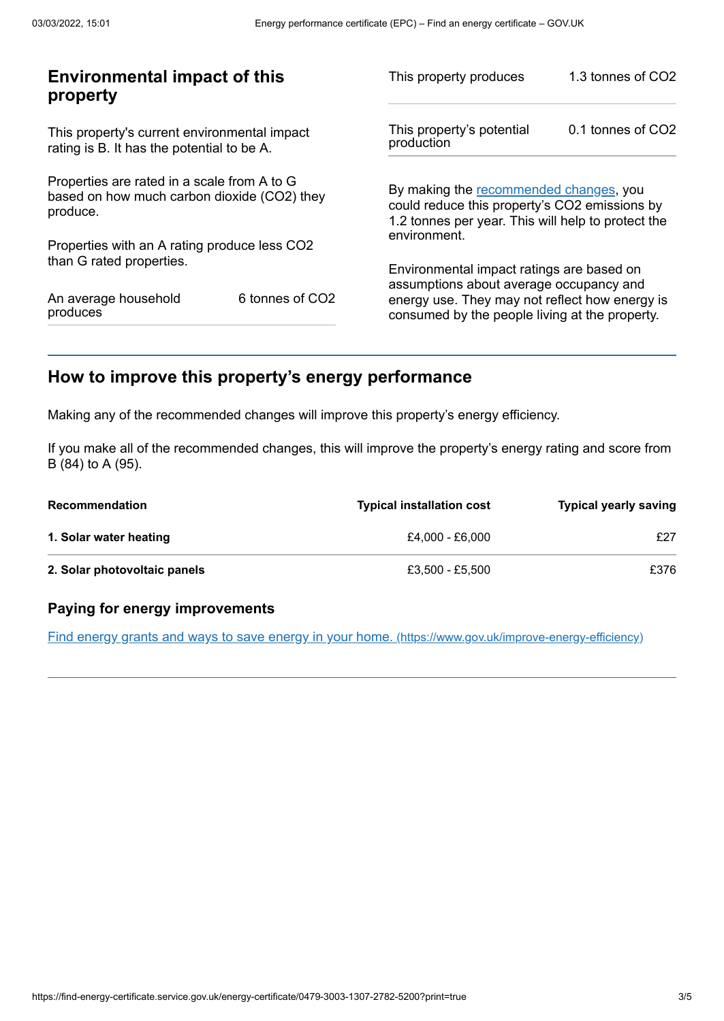| <b>Environmental impact of this</b><br>property                                                        |                             | This property produces                                                                                                                        | 1.3 tonnes of CO2 |
|--------------------------------------------------------------------------------------------------------|-----------------------------|-----------------------------------------------------------------------------------------------------------------------------------------------|-------------------|
| This property's current environmental impact<br>rating is B. It has the potential to be A.             |                             | This property's potential<br>production                                                                                                       | 0.1 tonnes of CO2 |
| Properties are rated in a scale from A to G<br>based on how much carbon dioxide (CO2) they<br>produce. |                             | By making the recommended changes, you<br>could reduce this property's CO2 emissions by<br>1.2 tonnes per year. This will help to protect the |                   |
| Properties with an A rating produce less CO2                                                           |                             | environment.                                                                                                                                  |                   |
| than G rated properties.                                                                               |                             | Environmental impact ratings are based on<br>assumptions about average occupancy and                                                          |                   |
| An average household<br>produces                                                                       | 6 tonnes of CO <sub>2</sub> | energy use. They may not reflect how energy is<br>consumed by the people living at the property.                                              |                   |
|                                                                                                        |                             |                                                                                                                                               |                   |

# <span id="page-2-0"></span>**How to improve this property's energy performance**

Making any of the recommended changes will improve this property's energy efficiency.

If you make all of the recommended changes, this will improve the property's energy rating and score from B (84) to A (95).

| <b>Recommendation</b>        | <b>Typical installation cost</b> | <b>Typical yearly saving</b> |
|------------------------------|----------------------------------|------------------------------|
| 1. Solar water heating       | £4.000 - £6.000                  | £27                          |
| 2. Solar photovoltaic panels | £3.500 - £5.500                  | £376                         |

#### **Paying for energy improvements**

Find energy grants and ways to save energy in your home. [\(https://www.gov.uk/improve-energy-efficiency\)](https://www.gov.uk/improve-energy-efficiency)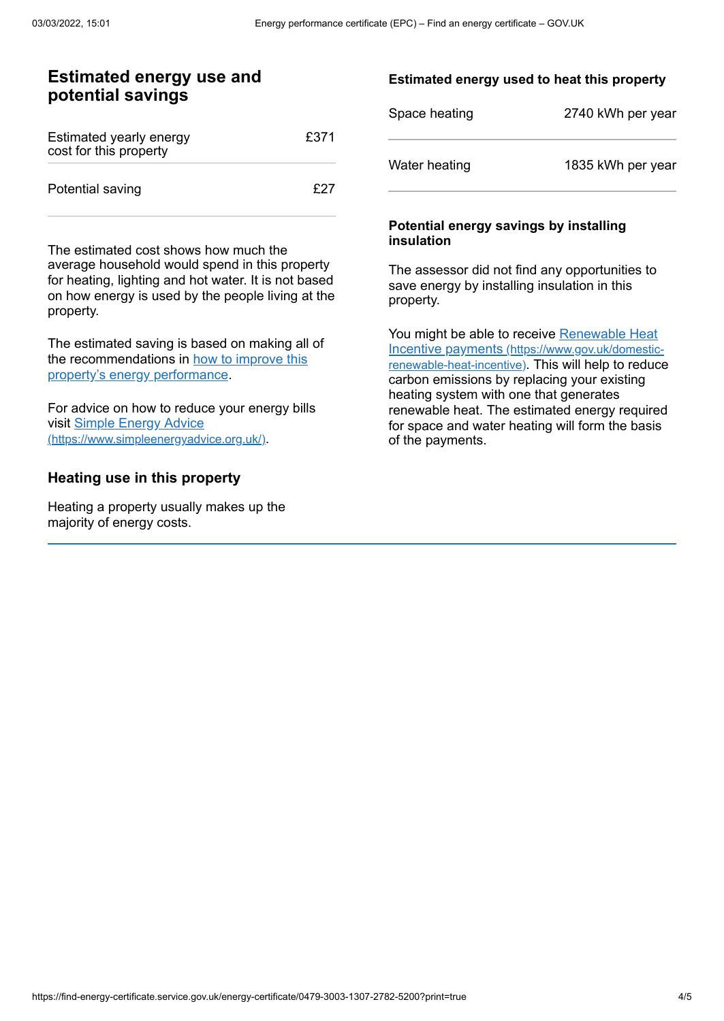## **Estimated energy use and potential savings**

| Estimated yearly energy<br>cost for this property | £371 |
|---------------------------------------------------|------|
| Potential saving                                  | f27  |

The estimated cost shows how much the average household would spend in this property for heating, lighting and hot water. It is not based on how energy is used by the people living at the property.

The estimated saving is based on making all of the [recommendations](#page-2-0) in how to improve this property's energy performance.

For advice on how to reduce your energy bills visit Simple Energy Advice [\(https://www.simpleenergyadvice.org.uk/\)](https://www.simpleenergyadvice.org.uk/).

#### **Heating use in this property**

Heating a property usually makes up the majority of energy costs.

#### **Estimated energy used to heat this property**

| Space heating | 2740 kWh per year |
|---------------|-------------------|
| Water heating | 1835 kWh per year |

#### **Potential energy savings by installing insulation**

The assessor did not find any opportunities to save energy by installing insulation in this property.

You might be able to receive Renewable Heat Incentive payments [\(https://www.gov.uk/domestic](https://www.gov.uk/domestic-renewable-heat-incentive)renewable-heat-incentive). This will help to reduce carbon emissions by replacing your existing heating system with one that generates renewable heat. The estimated energy required for space and water heating will form the basis of the payments.